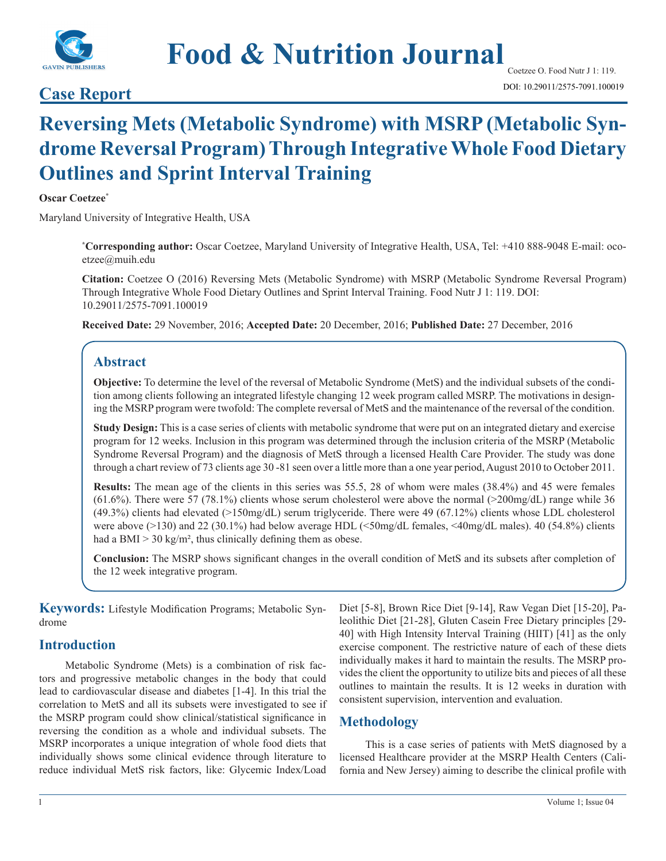

# **Food & Nutrition Journal**

# **Case Report Case Report Case Report Case Report Case Report Case Report Case Report CASE 2011/2575-7091.100019**

# **Reversing Mets (Metabolic Syndrome) with MSRP (Metabolic Syndrome Reversal Program) Through Integrative Whole Food Dietary Outlines and Sprint Interval Training**

#### **Oscar Coetzee\***

Maryland University of Integrative Health, USA

**\* Corresponding author:** Oscar Coetzee, Maryland University of Integrative Health, USA, Tel: +410 888-9048 E-mail: ocoetzee@muih.edu

**Citation:** Coetzee O (2016) Reversing Mets (Metabolic Syndrome) with MSRP (Metabolic Syndrome Reversal Program) Through Integrative Whole Food Dietary Outlines and Sprint Interval Training. Food Nutr J 1: 119. DOI: 10.29011/2575-7091.100019

**Received Date:** 29 November, 2016; **Accepted Date:** 20 December, 2016; **Published Date:** 27 December, 2016

## **Abstract**

**Objective:** To determine the level of the reversal of Metabolic Syndrome (MetS) and the individual subsets of the condition among clients following an integrated lifestyle changing 12 week program called MSRP. The motivations in designing the MSRP program were twofold: The complete reversal of MetS and the maintenance of the reversal of the condition.

**Study Design:** This is a case series of clients with metabolic syndrome that were put on an integrated dietary and exercise program for 12 weeks. Inclusion in this program was determined through the inclusion criteria of the MSRP (Metabolic Syndrome Reversal Program) and the diagnosis of MetS through a licensed Health Care Provider. The study was done through a chart review of 73 clients age 30 -81 seen over a little more than a one year period, August 2010 to October 2011.

**Results:** The mean age of the clients in this series was 55.5, 28 of whom were males (38.4%) and 45 were females (61.6%). There were 57 (78.1%) clients whose serum cholesterol were above the normal (>200mg/dL) range while 36 (49.3%) clients had elevated (>150mg/dL) serum triglyceride. There were 49 (67.12%) clients whose LDL cholesterol were above (>130) and 22 (30.1%) had below average HDL (<50mg/dL females, <40mg/dL males). 40 (54.8%) clients had a BMI  $>$  30 kg/m<sup>2</sup>, thus clinically defining them as obese.

**Conclusion:** The MSRP shows significant changes in the overall condition of MetS and its subsets after completion of the 12 week integrative program.

**Keywords:** Lifestyle Modification Programs; Metabolic Syndrome

#### **Introduction**

Metabolic Syndrome (Mets) is a combination of risk factors and progressive metabolic changes in the body that could lead to cardiovascular disease and diabetes [1-4]. In this trial the correlation to MetS and all its subsets were investigated to see if the MSRP program could show clinical/statistical significance in reversing the condition as a whole and individual subsets. The MSRP incorporates a unique integration of whole food diets that individually shows some clinical evidence through literature to reduce individual MetS risk factors, like: Glycemic Index/Load

Diet [5-8], Brown Rice Diet [9-14], Raw Vegan Diet [15-20], Paleolithic Diet [21-28], Gluten Casein Free Dietary principles [29- 40] with High Intensity Interval Training (HIIT) [41] as the only exercise component. The restrictive nature of each of these diets individually makes it hard to maintain the results. The MSRP provides the client the opportunity to utilize bits and pieces of all these outlines to maintain the results. It is 12 weeks in duration with consistent supervision, intervention and evaluation.

# **Methodology**

This is a case series of patients with MetS diagnosed by a licensed Healthcare provider at the MSRP Health Centers (California and New Jersey) aiming to describe the clinical profile with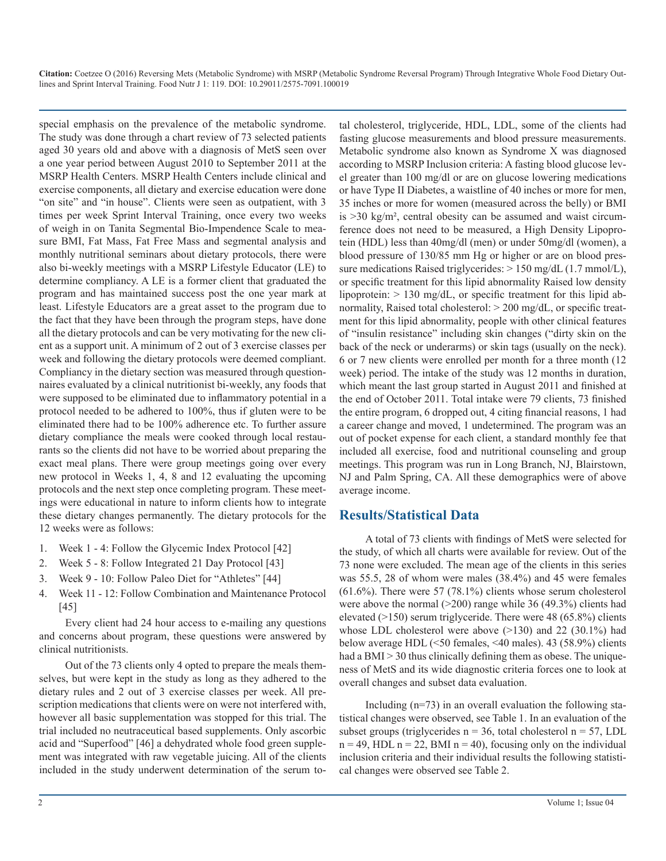special emphasis on the prevalence of the metabolic syndrome. The study was done through a chart review of 73 selected patients aged 30 years old and above with a diagnosis of MetS seen over a one year period between August 2010 to September 2011 at the MSRP Health Centers. MSRP Health Centers include clinical and exercise components, all dietary and exercise education were done "on site" and "in house". Clients were seen as outpatient, with 3 times per week Sprint Interval Training, once every two weeks of weigh in on Tanita Segmental Bio-Impendence Scale to measure BMI, Fat Mass, Fat Free Mass and segmental analysis and monthly nutritional seminars about dietary protocols, there were also bi-weekly meetings with a MSRP Lifestyle Educator (LE) to determine compliancy. A LE is a former client that graduated the program and has maintained success post the one year mark at least. Lifestyle Educators are a great asset to the program due to the fact that they have been through the program steps, have done all the dietary protocols and can be very motivating for the new client as a support unit. A minimum of 2 out of 3 exercise classes per week and following the dietary protocols were deemed compliant. Compliancy in the dietary section was measured through questionnaires evaluated by a clinical nutritionist bi-weekly, any foods that were supposed to be eliminated due to inflammatory potential in a protocol needed to be adhered to 100%, thus if gluten were to be eliminated there had to be 100% adherence etc. To further assure dietary compliance the meals were cooked through local restaurants so the clients did not have to be worried about preparing the exact meal plans. There were group meetings going over every new protocol in Weeks 1, 4, 8 and 12 evaluating the upcoming protocols and the next step once completing program. These meetings were educational in nature to inform clients how to integrate these dietary changes permanently. The dietary protocols for the 12 weeks were as follows:

- 1. Week 1 4: Follow the Glycemic Index Protocol [42]
- 2. Week 5 8: Follow Integrated 21 Day Protocol [43]
- 3. Week 9 10: Follow Paleo Diet for "Athletes" [44]
- 4. Week 11 12: Follow Combination and Maintenance Protocol [45]

Every client had 24 hour access to e-mailing any questions and concerns about program, these questions were answered by clinical nutritionists.

Out of the 73 clients only 4 opted to prepare the meals themselves, but were kept in the study as long as they adhered to the dietary rules and 2 out of 3 exercise classes per week. All prescription medications that clients were on were not interfered with, however all basic supplementation was stopped for this trial. The trial included no neutraceutical based supplements. Only ascorbic acid and "Superfood" [46] a dehydrated whole food green supplement was integrated with raw vegetable juicing. All of the clients included in the study underwent determination of the serum total cholesterol, triglyceride, HDL, LDL, some of the clients had fasting glucose measurements and blood pressure measurements. Metabolic syndrome also known as Syndrome X was diagnosed according to MSRP Inclusion criteria: A fasting blood glucose level greater than 100 mg/dl or are on glucose lowering medications or have Type II Diabetes, a waistline of 40 inches or more for men, 35 inches or more for women (measured across the belly) or BMI is >30 kg/m², central obesity can be assumed and waist circumference does not need to be measured, a High Density Lipoprotein (HDL) less than 40mg/dl (men) or under 50mg/dl (women), a blood pressure of 130/85 mm Hg or higher or are on blood pressure medications Raised triglycerides:  $> 150$  mg/dL (1.7 mmol/L), or specific treatment for this lipid abnormality Raised low density lipoprotein: > 130 mg/dL, or specific treatment for this lipid abnormality, Raised total cholesterol:  $>$  200 mg/dL, or specific treatment for this lipid abnormality, people with other clinical features of "insulin resistance" including skin changes ("dirty skin on the back of the neck or underarms) or skin tags (usually on the neck). 6 or 7 new clients were enrolled per month for a three month (12 week) period. The intake of the study was 12 months in duration, which meant the last group started in August 2011 and finished at the end of October 2011. Total intake were 79 clients, 73 finished the entire program, 6 dropped out, 4 citing financial reasons, 1 had a career change and moved, 1 undetermined. The program was an out of pocket expense for each client, a standard monthly fee that included all exercise, food and nutritional counseling and group meetings. This program was run in Long Branch, NJ, Blairstown, NJ and Palm Spring, CA. All these demographics were of above average income.

## **Results/Statistical Data**

A total of 73 clients with findings of MetS were selected for the study, of which all charts were available for review. Out of the 73 none were excluded. The mean age of the clients in this series was 55.5, 28 of whom were males (38.4%) and 45 were females  $(61.6\%)$ . There were 57 (78.1%) clients whose serum cholesterol were above the normal (>200) range while 36 (49.3%) clients had elevated (>150) serum triglyceride. There were 48 (65.8%) clients whose LDL cholesterol were above  $(>130)$  and 22 (30.1%) had below average HDL (<50 females, <40 males). 43 (58.9%) clients had a BMI > 30 thus clinically defining them as obese. The uniqueness of MetS and its wide diagnostic criteria forces one to look at overall changes and subset data evaluation.

Including (n=73) in an overall evaluation the following statistical changes were observed, see Table 1. In an evaluation of the subset groups (triglycerides  $n = 36$ , total cholesterol  $n = 57$ , LDL  $n = 49$ , HDL  $n = 22$ , BMI  $n = 40$ ), focusing only on the individual inclusion criteria and their individual results the following statistical changes were observed see Table 2.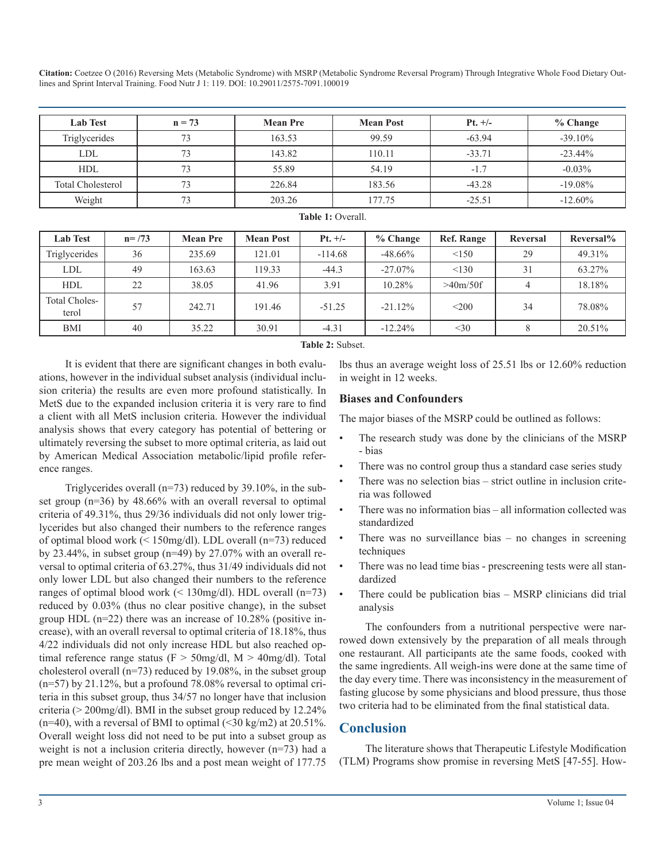| <b>Lab Test</b>          | $n = 73$ | <b>Mean Pre</b> | <b>Mean Post</b> | $Pt. +/-$ | % Change   |  |
|--------------------------|----------|-----------------|------------------|-----------|------------|--|
| Triglycerides            | 73       | 163.53          | 99.59            | $-63.94$  | $-39.10\%$ |  |
| <b>LDL</b>               | 73       | 143.82          | 110.11           | $-33.71$  | $-23.44\%$ |  |
| <b>HDL</b>               | 73       | 55.89           | 54.19            | $-1.7$    | $-0.03\%$  |  |
| <b>Total Cholesterol</b> | 73       | 226.84          | 183.56           | $-43.28$  | $-19.08\%$ |  |
| Weight                   | 73       | 203.26          | 177.75           | $-25.51$  | $-12.60\%$ |  |

| <b>Lab Test</b>               | $n = 73$ | <b>Mean Pre</b> | <b>Mean Post</b> | $Pt. +/-$ | $%$ Change | <b>Ref. Range</b>     | Reversal | Reversal% |
|-------------------------------|----------|-----------------|------------------|-----------|------------|-----------------------|----------|-----------|
| Triglycerides                 | 36       | 235.69          | 121.01           | $-114.68$ | $-48.66%$  | < 150                 | 29       | 49.31%    |
| LDL                           | 49       | 163.63          | 119.33           | $-44.3$   | $-27.07\%$ | < 130                 | 31       | 63.27%    |
| <b>HDL</b>                    | 22       | 38.05           | 41.96            | 3.91      | 10.28%     | >40 <sub>m</sub> /50f |          | 18.18%    |
| <b>Total Choles-</b><br>terol | 57       | 242.71          | 191.46           | $-51.25$  | $-21.12%$  | < 200                 | 34       | 78.08%    |
| BMI                           | 40       | 35.22           | 30.91            | $-4.31$   | $-12.24%$  | $<$ 30                |          | 20.51%    |

**Table 1:** Overall.

**Table 2:** Subset.

It is evident that there are significant changes in both evaluations, however in the individual subset analysis (individual inclusion criteria) the results are even more profound statistically. In MetS due to the expanded inclusion criteria it is very rare to find a client with all MetS inclusion criteria. However the individual analysis shows that every category has potential of bettering or ultimately reversing the subset to more optimal criteria, as laid out by American Medical Association metabolic/lipid profile reference ranges.

Triglycerides overall (n=73) reduced by 39.10%, in the subset group (n=36) by 48.66% with an overall reversal to optimal criteria of 49.31%, thus 29/36 individuals did not only lower triglycerides but also changed their numbers to the reference ranges of optimal blood work (< 150mg/dl). LDL overall (n=73) reduced by 23.44%, in subset group ( $n=49$ ) by 27.07% with an overall reversal to optimal criteria of 63.27%, thus 31/49 individuals did not only lower LDL but also changed their numbers to the reference ranges of optimal blood work (< 130mg/dl). HDL overall (n=73) reduced by 0.03% (thus no clear positive change), in the subset group HDL (n=22) there was an increase of 10.28% (positive increase), with an overall reversal to optimal criteria of 18.18%, thus 4/22 individuals did not only increase HDL but also reached optimal reference range status (F > 50mg/dl, M > 40mg/dl). Total cholesterol overall (n=73) reduced by 19.08%, in the subset group (n=57) by 21.12%, but a profound 78.08% reversal to optimal criteria in this subset group, thus 34/57 no longer have that inclusion criteria (> 200mg/dl). BMI in the subset group reduced by 12.24%  $(n=40)$ , with a reversal of BMI to optimal  $(\leq 30 \text{ kg/m2})$  at 20.51%. Overall weight loss did not need to be put into a subset group as weight is not a inclusion criteria directly, however (n=73) had a pre mean weight of 203.26 lbs and a post mean weight of 177.75

lbs thus an average weight loss of 25.51 lbs or 12.60% reduction in weight in 12 weeks.

#### **Biases and Confounders**

The major biases of the MSRP could be outlined as follows:

- The research study was done by the clinicians of the MSRP - bias
- There was no control group thus a standard case series study
- There was no selection bias strict outline in inclusion criteria was followed
- There was no information bias all information collected was standardized
- There was no surveillance bias  $-$  no changes in screening techniques
- There was no lead time bias prescreening tests were all standardized
- There could be publication bias MSRP clinicians did trial analysis

The confounders from a nutritional perspective were narrowed down extensively by the preparation of all meals through one restaurant. All participants ate the same foods, cooked with the same ingredients. All weigh-ins were done at the same time of the day every time. There was inconsistency in the measurement of fasting glucose by some physicians and blood pressure, thus those two criteria had to be eliminated from the final statistical data.

### **Conclusion**

The literature shows that Therapeutic Lifestyle Modification (TLM) Programs show promise in reversing MetS [47-55]. How-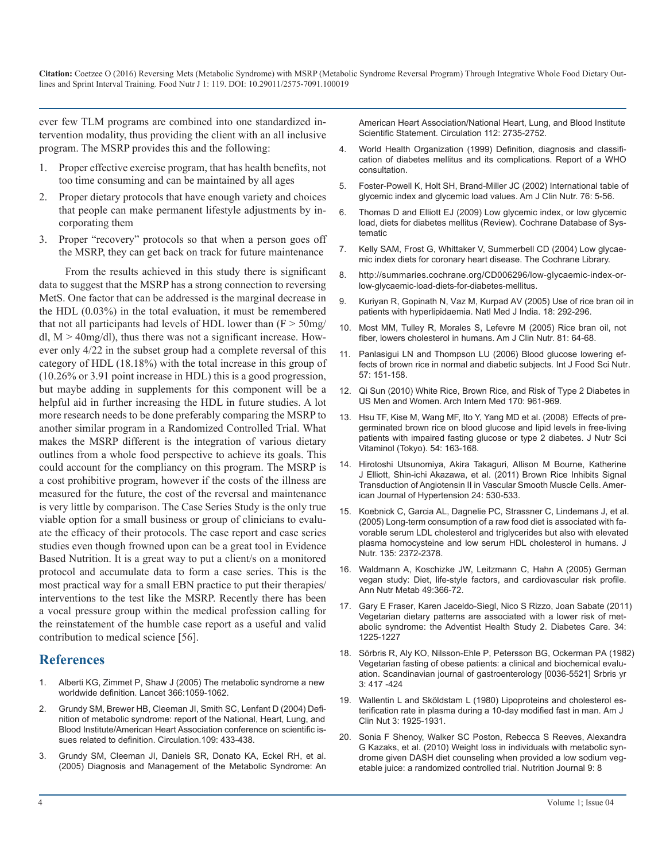ever few TLM programs are combined into one standardized intervention modality, thus providing the client with an all inclusive program. The MSRP provides this and the following:

- 1. Proper effective exercise program, that has health benefits, not too time consuming and can be maintained by all ages
- 2. Proper dietary protocols that have enough variety and choices that people can make permanent lifestyle adjustments by incorporating them
- 3. Proper "recovery" protocols so that when a person goes off the MSRP, they can get back on track for future maintenance

From the results achieved in this study there is significant data to suggest that the MSRP has a strong connection to reversing MetS. One factor that can be addressed is the marginal decrease in the HDL (0.03%) in the total evaluation, it must be remembered that not all participants had levels of HDL lower than  $(F > 50mg)$ dl,  $M > 40$ mg/dl), thus there was not a significant increase. However only 4/22 in the subset group had a complete reversal of this category of HDL (18.18%) with the total increase in this group of (10.26% or 3.91 point increase in HDL) this is a good progression, but maybe adding in supplements for this component will be a helpful aid in further increasing the HDL in future studies. A lot more research needs to be done preferably comparing the MSRP to another similar program in a Randomized Controlled Trial. What makes the MSRP different is the integration of various dietary outlines from a whole food perspective to achieve its goals. This could account for the compliancy on this program. The MSRP is a cost prohibitive program, however if the costs of the illness are measured for the future, the cost of the reversal and maintenance is very little by comparison. The Case Series Study is the only true viable option for a small business or group of clinicians to evaluate the efficacy of their protocols. The case report and case series studies even though frowned upon can be a great tool in Evidence Based Nutrition. It is a great way to put a client/s on a monitored protocol and accumulate data to form a case series. This is the most practical way for a small EBN practice to put their therapies/ interventions to the test like the MSRP. Recently there has been a vocal pressure group within the medical profession calling for the reinstatement of the humble case report as a useful and valid contribution to medical science [56].

#### **References**

- 1. [Alberti KG, Zimmet P, Shaw J \(2005\) The metabolic syndrome a new](https://www.ncbi.nlm.nih.gov/pubmed/16182882) worldwide definition. Lancet 366:1059-1062.
- 2. [Grundy SM, Brewer HB, Cleeman JI, Smith SC, Lenfant D \(2004\) Defi](https://www.ncbi.nlm.nih.gov/pubmed/16182882)nition of metabolic syndrome: report of the National, Heart, Lung, and [Blood Institute/American Heart Association conference on scientific is](https://www.ncbi.nlm.nih.gov/pubmed/16182882)[sues related to definition. Circulation.109: 433-438.](https://www.ncbi.nlm.nih.gov/pubmed/16182882)
- 3. [Grundy SM, Cleeman JI, Daniels SR, Donato KA, Eckel RH, et al.](https://www.ncbi.nlm.nih.gov/pubmed/16182882)  (2005) Diagnosis and Management of the Metabolic Syndrome: An

[American Heart Association/National Heart, Lung, and Blood Institute](https://www.ncbi.nlm.nih.gov/pubmed/16182882) [Scientific Statement. Circulation 112: 2735-2752](https://www.ncbi.nlm.nih.gov/pubmed/16182882).

- 4. [World Health Organization \(1999\) Definition, diagnosis and classifi](https://www.ncbi.nlm.nih.gov/pubmed/16182882)cation of diabetes mellitus and its complications. Report of a WHO [consultation.](https://www.ncbi.nlm.nih.gov/pubmed/16182882)
- 5. [Foster-Powell K, Holt SH, Brand-Miller JC \(2002\) International table of](https://www.ncbi.nlm.nih.gov/pubmed/16182882)  glycemic index and glycemic load values. Am J Clin Nutr. 76: 5-56.
- 6. [Thomas D and Elliott EJ \(2009\) Low glycemic index, or low glycemic](https://www.ncbi.nlm.nih.gov/pubmed/16182882)  load, diets for diabetes mellitus (Review). Cochrane Database of Sys[tematic](https://www.ncbi.nlm.nih.gov/pubmed/16182882)
- 7. [Kelly SAM, Frost G, Whittaker V, Summerbell CD \(2004\) Low glycae](https://www.ncbi.nlm.nih.gov/pubmed/16182882)mic index diets for coronary heart disease. The Cochrane Library.
- 8. [http://summaries.cochrane.org/CD006296/low-glycaemic-index-or](https://www.ncbi.nlm.nih.gov/pubmed/16182882)low-glycaemic-load-diets-for-diabetes-mellitus.
- 9. [Kuriyan R, Gopinath N, Vaz M, Kurpad AV \(2005\) Use of rice bran oil in](https://www.ncbi.nlm.nih.gov/pubmed/16182882)  patients with hyperlipidaemia. Natl Med J India. 18: 292-296.
- 10. [Most MM, Tulley R, Morales S, Lefevre M \(2005\) Rice bran oil, not](https://www.ncbi.nlm.nih.gov/pubmed/16182882)  fiber, lowers cholesterol in humans. Am J Clin Nutr. 81: 64-68.
- 11. [Panlasigui LN and Thompson LU \(2006\) Blood glucose lowering ef](https://www.ncbi.nlm.nih.gov/pubmed/16182882)fects of brown rice in normal and diabetic subjects. Int J Food Sci Nut[r.](https://www.ncbi.nlm.nih.gov/pubmed/16182882)  [57: 151-158.](https://www.ncbi.nlm.nih.gov/pubmed/16182882)
- 12. [Qi Sun \(2010\) White Rice, Brown Rice, and Risk of Type 2 Diabetes in](https://www.ncbi.nlm.nih.gov/pubmed/16182882)  US Men and Women. Arch Intern Med 170: 961-969.
- 13. [Hsu TF, Kise M, Wang MF, Ito Y, Yang MD et al. \(2008\) Effects of pre](https://www.ncbi.nlm.nih.gov/pubmed/16182882)germinated brown rice on blood glucose and lipid levels in free-living [patients with impaired fasting glucose or type 2 diabetes. J Nutr Sci](https://www.ncbi.nlm.nih.gov/pubmed/16182882)  [Vitaminol \(Tokyo\). 54: 163-168.](https://www.ncbi.nlm.nih.gov/pubmed/16182882)
- 14. [Hirotoshi Utsunomiya, Akira Takaguri, Allison M Bourne, Katherine](https://www.ncbi.nlm.nih.gov/pubmed/16182882)  J Elliott, Shin-ichi Akazawa, et al. (2011) Brown Rice Inhibits Signal [Transduction of Angiotensin II in Vascular Smooth Muscle Cells. Amer](https://www.ncbi.nlm.nih.gov/pubmed/16182882)[ican Journal of Hypertension 24: 530-533](https://www.ncbi.nlm.nih.gov/pubmed/16182882).
- 15. [Koebnick C, Garcia AL, Dagnelie PC, Strassner C, Lindemans J, et al.](https://www.ncbi.nlm.nih.gov/pubmed/16182882)  (2005) Long-term consumption of a raw food diet is associated with fa[vorable serum LDL cholesterol and triglycerides but also with elevated](https://www.ncbi.nlm.nih.gov/pubmed/16182882)  [plasma homocysteine and low serum HDL cholesterol in humans. J](https://www.ncbi.nlm.nih.gov/pubmed/16182882)  [Nutr. 135: 2372-2378.](https://www.ncbi.nlm.nih.gov/pubmed/16182882)
- 16. [Waldmann A, Koschizke JW, Leitzmann C, Hahn A \(2005\) German](https://www.ncbi.nlm.nih.gov/pubmed/16182882)  vegan study: Diet, life-style factors, and cardiovascular risk profile. [Ann Nutr Metab 49:366-72.](https://www.ncbi.nlm.nih.gov/pubmed/16182882)
- 17. [Gary E Fraser, Karen Jaceldo-Siegl, Nico S Rizzo, Joan Sabate \(2011\)](https://www.ncbi.nlm.nih.gov/pubmed/16182882)  Vegetarian dietary patterns are associated with a lower risk of met[abolic syndrome: the Adventist Health Study 2. Diabetes Care. 34:](https://www.ncbi.nlm.nih.gov/pubmed/16182882) [1225-1227](https://www.ncbi.nlm.nih.gov/pubmed/16182882)
- 18. [Sörbris R, Aly KO, Nilsson-Ehle P, Petersson BG, Ockerman PA \(1982\)](https://www.ncbi.nlm.nih.gov/pubmed/16182882)  Vegetarian fasting of obese patients: a clinical and biochemical evalu[ation. Scandinavian journal of gastroenterology \[0036-5521\] Srbris yr](https://www.ncbi.nlm.nih.gov/pubmed/16182882)  [3: 417 -424](https://www.ncbi.nlm.nih.gov/pubmed/16182882)
- 19. [Wallentin L and Sköldstam L \(1980\) Lipoproteins and cholesterol es](https://www.ncbi.nlm.nih.gov/pubmed/16182882)[terification rate in plasma during a 10-day modified fast in man. Am J](https://www.ncbi.nlm.nih.gov/pubmed/16182882)  [Clin Nut 3: 1925-1931.](https://www.ncbi.nlm.nih.gov/pubmed/16182882)
- 20. [Sonia F Shenoy, Walker SC Poston, Rebecca S Reeves, Alexandra](https://www.ncbi.nlm.nih.gov/pubmed/16182882)  G Kazaks, et al. (2010) Weight loss in individuals with metabolic syn[drome given DASH diet counseling when provided a low sodium veg](https://www.ncbi.nlm.nih.gov/pubmed/16182882)[etable juice: a randomized controlled trial. Nutrition Journal 9: 8](https://www.ncbi.nlm.nih.gov/pubmed/16182882)